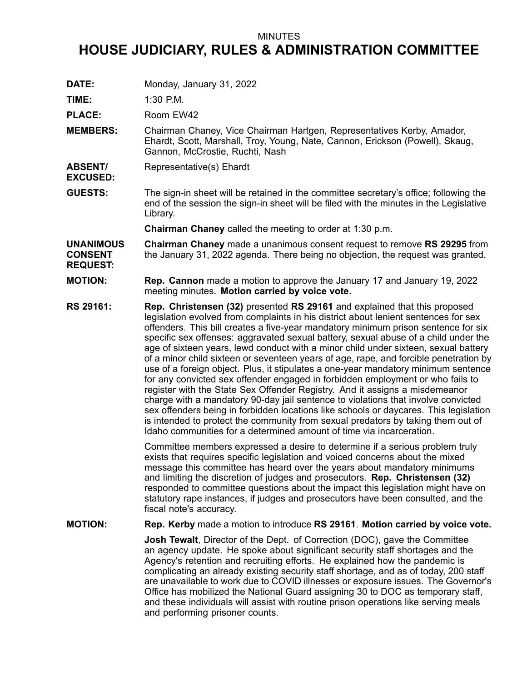## MINUTES

## **HOUSE JUDICIARY, RULES & ADMINISTRATION COMMITTEE**

**DATE:** Monday, January 31, 2022

**TIME:** 1:30 P.M.

PLACE: Room EW42

- **MEMBERS:** Chairman Chaney, Vice Chairman Hartgen, Representatives Kerby, Amador, Ehardt, Scott, Marshall, Troy, Young, Nate, Cannon, Erickson (Powell), Skaug, Gannon, McCrostie, Ruchti, Nash
- **ABSENT/ EXCUSED:** Representative(s) Ehardt
- **GUESTS:** The sign-in sheet will be retained in the committee secretary's office; following the end of the session the sign-in sheet will be filed with the minutes in the Legislative Library.

**Chairman Chaney** called the meeting to order at 1:30 p.m.

**UNANIMOUS CONSENT REQUEST: Chairman Chaney** made <sup>a</sup> unanimous consent request to remove **RS 29295** from the January 31, 2022 agenda. There being no objection, the request was granted.

- **MOTION: Rep. Cannon** made <sup>a</sup> motion to approve the January 17 and January 19, 2022 meeting minutes. **Motion carried by voice vote.**
- **RS 29161: Rep. Christensen (32)** presented **RS 29161** and explained that this proposed legislation evolved from complaints in his district about lenient sentences for sex offenders. This bill creates <sup>a</sup> five-year mandatory minimum prison sentence for six specific sex offenses: aggravated sexual battery, sexual abuse of <sup>a</sup> child under the age of sixteen years, lewd conduct with <sup>a</sup> minor child under sixteen, sexual battery of <sup>a</sup> minor child sixteen or seventeen years of age, rape, and forcible penetration by use of <sup>a</sup> foreign object. Plus, it stipulates <sup>a</sup> one-year mandatory minimum sentence for any convicted sex offender engaged in forbidden employment or who fails to register with the State Sex Offender Registry. And it assigns <sup>a</sup> misdemeanor charge with <sup>a</sup> mandatory 90-day jail sentence to violations that involve convicted sex offenders being in forbidden locations like schools or daycares. This legislation is intended to protect the community from sexual predators by taking them out of Idaho communities for a determined amount of time via incarceration.

Committee members expressed <sup>a</sup> desire to determine if <sup>a</sup> serious problem truly exists that requires specific legislation and voiced concerns about the mixed message this committee has heard over the years about mandatory minimums and limiting the discretion of judges and prosecutors. **Rep. Christensen (32)** responded to committee questions about the impact this legislation might have on statutory rape instances, if judges and prosecutors have been consulted, and the fiscal note's accuracy.

**MOTION: Rep. Kerby** made <sup>a</sup> motion to introduce **RS 29161**. **Motion carried by voice vote.**

**Josh Tewalt**, Director of the Dept. of Correction (DOC), gave the Committee an agency update. He spoke about significant security staff shortages and the Agency's retention and recruiting efforts. He explained how the pandemic is complicating an already existing security staff shortage, and as of today, 200 staff are unavailable to work due to COVID illnesses or exposure issues. The Governor's Office has mobilized the National Guard assigning 30 to DOC as temporary staff, and these individuals will assist with routine prison operations like serving meals and performing prisoner counts.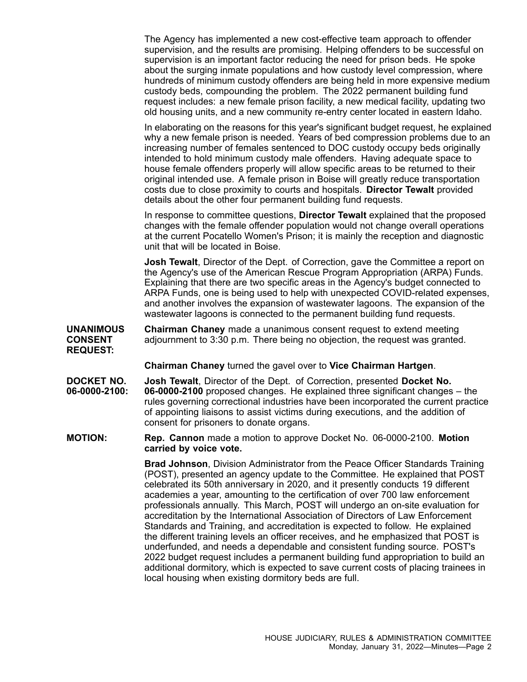The Agency has implemented <sup>a</sup> new cost-effective team approach to offender supervision, and the results are promising. Helping offenders to be successful on supervision is an important factor reducing the need for prison beds. He spoke about the surging inmate populations and how custody level compression, where hundreds of minimum custody offenders are being held in more expensive medium custody beds, compounding the problem. The 2022 permanent building fund request includes: <sup>a</sup> new female prison facility, <sup>a</sup> new medical facility, updating two old housing units, and <sup>a</sup> new community re-entry center located in eastern Idaho.

In elaborating on the reasons for this year's significant budget request, he explained why <sup>a</sup> new female prison is needed. Years of bed compression problems due to an increasing number of females sentenced to DOC custody occupy beds originally intended to hold minimum custody male offenders. Having adequate space to house female offenders properly will allow specific areas to be returned to their original intended use. A female prison in Boise will greatly reduce transportation costs due to close proximity to courts and hospitals. **Director Tewalt** provided details about the other four permanent building fund requests.

In response to committee questions, **Director Tewalt** explained that the proposed changes with the female offender population would not change overall operations at the current Pocatello Women's Prison; it is mainly the reception and diagnostic unit that will be located in Boise.

**Josh Tewalt**, Director of the Dept. of Correction, gave the Committee <sup>a</sup> report on the Agency's use of the American Rescue Program Appropriation (ARPA) Funds. Explaining that there are two specific areas in the Agency's budget connected to ARPA Funds, one is being used to help with unexpected COVID-related expenses, and another involves the expansion of wastewater lagoons. The expansion of the wastewater lagoons is connected to the permanent building fund requests.

**UNANIMOUS CONSENT REQUEST: Chairman Chaney** made <sup>a</sup> unanimous consent request to extend meeting adjournment to 3:30 p.m. There being no objection, the request was granted.

**Chairman Chaney** turned the gavel over to **Vice Chairman Hartgen**.

**DOCKET NO. 06-0000-2100: Josh Tewalt**, Director of the Dept. of Correction, presented **Docket No. 06-0000-2100** proposed changes. He explained three significant changes – the rules governing correctional industries have been incorporated the current practice of appointing liaisons to assist victims during executions, and the addition of consent for prisoners to donate organs.

**MOTION: Rep. Cannon** made <sup>a</sup> motion to approve Docket No. 06-0000-2100. **Motion carried by voice vote.**

> **Brad Johnson**, Division Administrator from the Peace Officer Standards Training (POST), presented an agency update to the Committee. He explained that POST celebrated its 50th anniversary in 2020, and it presently conducts 19 different academies <sup>a</sup> year, amounting to the certification of over 700 law enforcement professionals annually. This March, POST will undergo an on-site evaluation for accreditation by the International Association of Directors of Law Enforcement Standards and Training, and accreditation is expected to follow. He explained the different training levels an officer receives, and he emphasized that POST is underfunded, and needs <sup>a</sup> dependable and consistent funding source. POST's 2022 budget request includes <sup>a</sup> permanent building fund appropriation to build an additional dormitory, which is expected to save current costs of placing trainees in local housing when existing dormitory beds are full.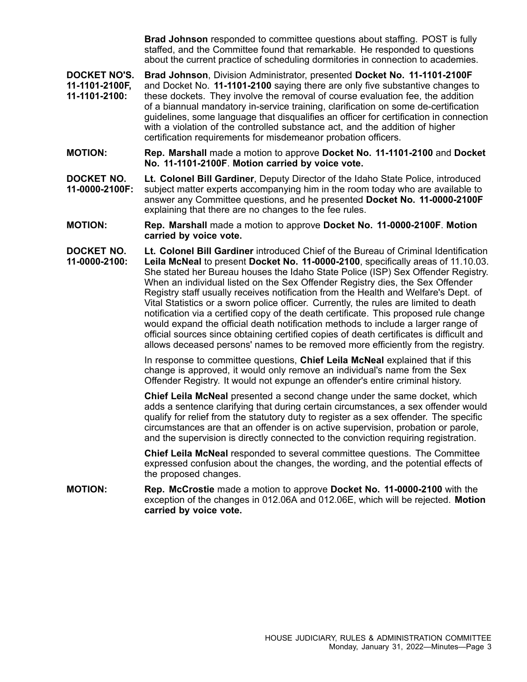**Brad Johnson** responded to committee questions about staffing. POST is fully staffed, and the Committee found that remarkable. He responded to questions about the current practice of scheduling dormitories in connection to academies.

**DOCKET NO'S. 11-1101-2100F, 11-1101-2100: Brad Johnson**, Division Administrator, presented **Docket No. 11-1101-2100F** and Docket No. **11-1101-2100** saying there are only five substantive changes to these dockets. They involve the removal of course evaluation fee, the addition of <sup>a</sup> biannual mandatory in-service training, clarification on some de-certification guidelines, some language that disqualifies an officer for certification in connection with <sup>a</sup> violation of the controlled substance act, and the addition of higher certification requirements for misdemeanor probation officers.

- **MOTION: Rep. Marshall** made <sup>a</sup> motion to approve **Docket No. 11-1101-2100** and **Docket No. 11-1101-2100F**. **Motion carried by voice vote.**
- **DOCKET NO. 11-0000-2100F: Lt. Colonel Bill Gardiner**, Deputy Director of the Idaho State Police, introduced subject matter experts accompanying him in the room today who are available to answer any Committee questions, and he presented **Docket No. 11-0000-2100F** explaining that there are no changes to the fee rules.
- **MOTION: Rep. Marshall** made <sup>a</sup> motion to approve **Docket No. 11-0000-2100F**. **Motion carried by voice vote.**
- **DOCKET NO. 11-0000-2100: Lt. Colonel Bill Gardiner** introduced Chief of the Bureau of Criminal Identification **Leila McNeal** to present **Docket No. 11-0000-2100**, specifically areas of 11.10.03. She stated her Bureau houses the Idaho State Police (ISP) Sex Offender Registry. When an individual listed on the Sex Offender Registry dies, the Sex Offender Registry staff usually receives notification from the Health and Welfare's Dept. of Vital Statistics or <sup>a</sup> sworn police officer. Currently, the rules are limited to death notification via <sup>a</sup> certified copy of the death certificate. This proposed rule change would expand the official death notification methods to include <sup>a</sup> larger range of official sources since obtaining certified copies of death certificates is difficult and allows deceased persons' names to be removed more efficiently from the registry.

In response to committee questions, **Chief Leila McNeal** explained that if this change is approved, it would only remove an individual's name from the Sex Offender Registry. It would not expunge an offender's entire criminal history.

**Chief Leila McNeal** presented <sup>a</sup> second change under the same docket, which adds <sup>a</sup> sentence clarifying that during certain circumstances, <sup>a</sup> sex offender would qualify for relief from the statutory duty to register as <sup>a</sup> sex offender. The specific circumstances are that an offender is on active supervision, probation or parole, and the supervision is directly connected to the conviction requiring registration.

**Chief Leila McNeal** responded to several committee questions. The Committee expressed confusion about the changes, the wording, and the potential effects of the proposed changes.

**MOTION: Rep. McCrostie** made <sup>a</sup> motion to approve **Docket No. 11-0000-2100** with the exception of the changes in 012.06A and 012.06E, which will be rejected. **Motion carried by voice vote.**